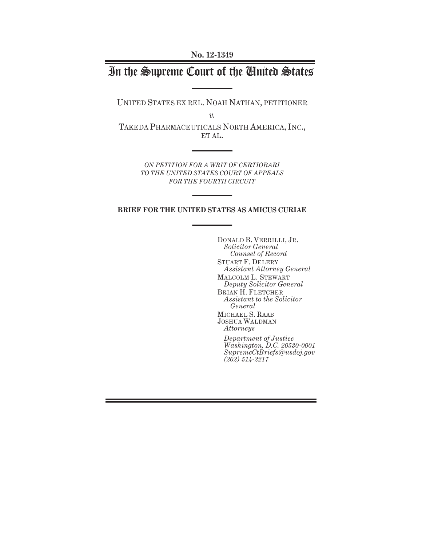# In the Supreme Court of the United States

UNITED STATES EX REL. NOAH NATHAN, PETITIONER

*v.*

TAKEDA PHARMACEUTICALS NORTH AMERICA, INC., ET AL.

> *ON PETITION FOR A WRIT OF CERTIORARI TO THE UNITED STATES COURT OF APPEALS FOR THE FOURTH CIRCUIT*

## **BRIEF FOR THE UNITED STATES AS AMICUS CURIAE**

DONALD B. VERRILLI, JR. *Solicitor General Counsel of Record*  STUART F. DELERY *Assistant Attorney General*  MALCOLM L. STEWART *Deputy Solicitor General*  BRIAN H. FLETCHER *Assistant to the Solicitor General*  MICHAEL S. RAAB JOSHUA WALDMAN *Attorneys Department of Justice Washington, D.C. 20530-0001* 

*SupremeCtBriefs@usdoj.gov* 

*(202) 514-2217*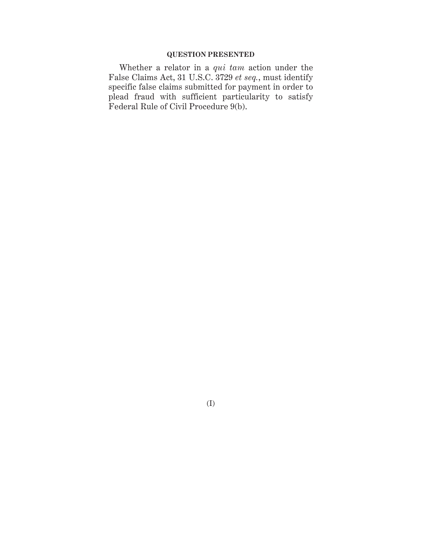## **QUESTION PRESENTED**

Whether a relator in a *qui tam* action under the False Claims Act, 31 U.S.C. 3729 *et seq.*, must identify specific false claims submitted for payment in order to plead fraud with sufficient particularity to satisfy Federal Rule of Civil Procedure 9(b).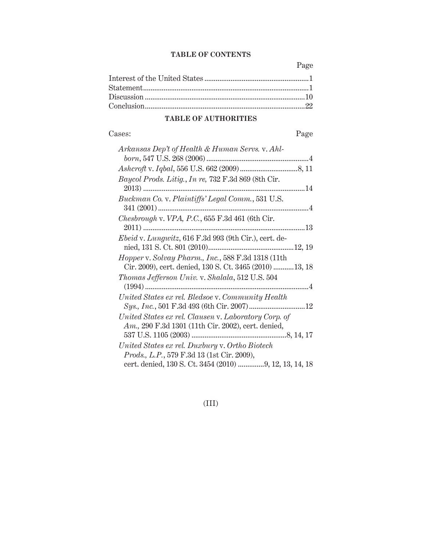## **TABLE OF CONTENTS**

Page

## **TABLE OF AUTHORITIES**

## Cases: Page

| Arkansas Dep't of Health & Human Servs. v. Ahl-                                                                |
|----------------------------------------------------------------------------------------------------------------|
|                                                                                                                |
| Baycol Prods. Litig., In re, 732 F.3d 869 (8th Cir.                                                            |
| Buckman Co. v. Plaintiffs' Legal Comm., 531 U.S.                                                               |
| Chesbrough v. VPA, P.C., $655$ F.3d 461 (6th Cir.                                                              |
|                                                                                                                |
| Ebeid v. Lungwitz, 616 F.3d 993 (9th Cir.), cert. de-                                                          |
| Hopper v. Solvay Pharm., Inc., 588 F.3d 1318 (11th<br>Cir. 2009), cert. denied, 130 S. Ct. 3465 (2010)  13, 18 |
| Thomas Jefferson Univ. v. Shalala, 512 U.S. 504                                                                |
| United States ex rel. Bledsoe v. Community Health                                                              |
| United States ex rel. Clausen v. Laboratory Corp. of<br>Am., 290 F.3d 1301 (11th Cir. 2002), cert. denied,     |
|                                                                                                                |
| United States ex rel. Duxbury v. Ortho Biotech                                                                 |
| Prods., L.P., 579 F.3d 13 (1st Cir. 2009),<br>cert. denied, 130 S. Ct. 3454 (2010) 9, 12, 13, 14, 18           |

(III)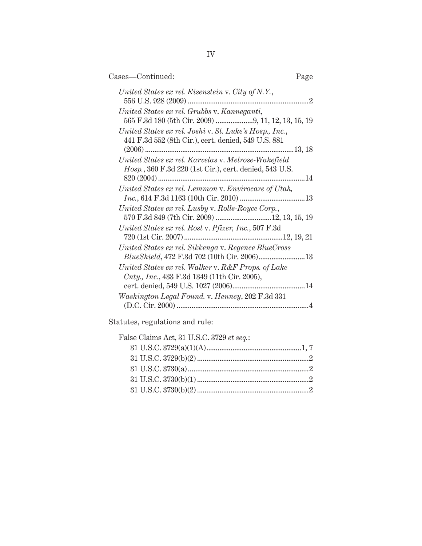| Cases-Continued:                                                                                                      | Page |
|-----------------------------------------------------------------------------------------------------------------------|------|
| United States ex rel. Eisenstein v. City of N.Y.,                                                                     |      |
| United States ex rel. Grubbs v. Kanneganti,                                                                           |      |
| United States ex rel. Joshi v. St. Luke's Hosp., Inc.,<br>441 F.3d 552 (8th Cir.), cert. denied, 549 U.S. 881         |      |
| United States ex rel. Karvelas v. Melrose-Wakefield                                                                   |      |
| <i>Hosp.</i> , 360 F.3d 220 (1st Cir.), cert. denied, 543 U.S.<br>United States ex rel. Lemmon v. Envirocare of Utah, |      |
|                                                                                                                       |      |
| United States ex rel. Lusby v. Rolls-Royce Corp.,<br>570 F.3d 849 (7th Cir. 2009) 12, 13, 15, 19                      |      |
| United States ex rel. Rost v. Pfizer, Inc., 507 F.3d                                                                  |      |
| United States ex rel. Sikkenga v. Regence BlueCross                                                                   |      |
| United States ex rel. Walker v. R&F Props. of Lake<br>Cnty., Inc., 433 F.3d 1349 (11th Cir. 2005),                    |      |
| Washington Legal Found. v. Henney, 202 F.3d 331                                                                       |      |
|                                                                                                                       |      |

Statutes, regulations and rule:

| False Claims Act, 31 U.S.C. 3729 et seq.: |  |
|-------------------------------------------|--|
|                                           |  |
|                                           |  |
|                                           |  |
|                                           |  |
|                                           |  |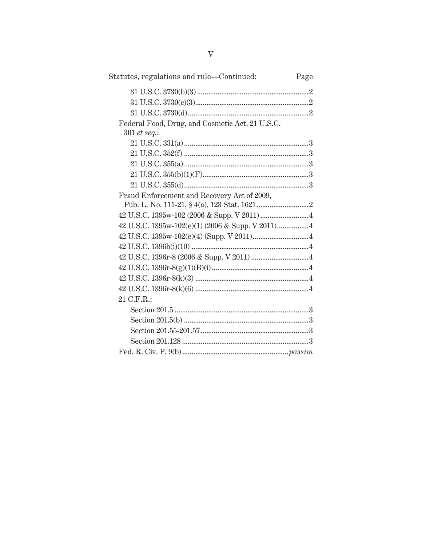| Statutes, regulations and rule-Continued:         | Page |
|---------------------------------------------------|------|
|                                                   |      |
|                                                   |      |
|                                                   |      |
| Federal Food, Drug, and Cosmetic Act, 21 U.S.C.   |      |
| 301 $et seq.$ :                                   |      |
|                                                   |      |
|                                                   |      |
|                                                   |      |
|                                                   |      |
|                                                   |      |
| Fraud Enforcement and Recovery Act of 2009,       |      |
|                                                   |      |
|                                                   |      |
| 42 U.S.C. 1395w-102(e)(1) (2006 & Supp. V 2011) 4 |      |
|                                                   |      |
|                                                   |      |
|                                                   |      |
|                                                   |      |
|                                                   |      |
|                                                   |      |
| 21 C.F.R.:                                        |      |
|                                                   |      |
|                                                   |      |
|                                                   |      |
|                                                   |      |
|                                                   |      |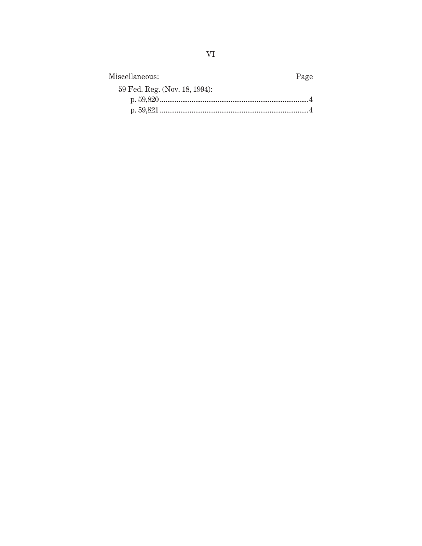| Miscellaneous:                | Page |
|-------------------------------|------|
| 59 Fed. Reg. (Nov. 18, 1994): |      |
|                               |      |
|                               |      |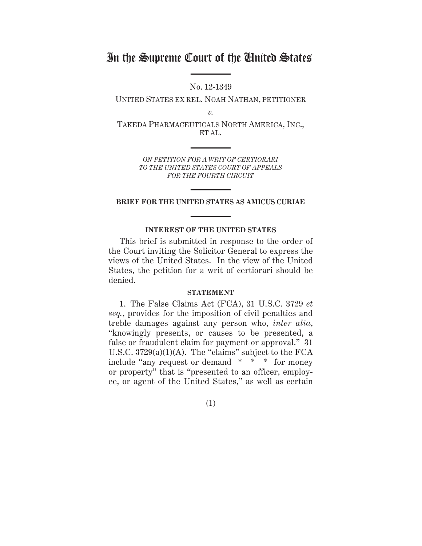## In the Supreme Court of the United States

No. 12-1349

UNITED STATES EX REL. NOAH NATHAN, PETITIONER

*v.*

TAKEDA PHARMACEUTICALS NORTH AMERICA, INC., ET AL.

> *ON PETITION FOR A WRIT OF CERTIORARI TO THE UNITED STATES COURT OF APPEALS FOR THE FOURTH CIRCUIT*

## **BRIEF FOR THE UNITED STATES AS AMICUS CURIAE**

## **INTEREST OF THE UNITED STATES**

This brief is submitted in response to the order of the Court inviting the Solicitor General to express the views of the United States. In the view of the United States, the petition for a writ of certiorari should be denied.

#### **STATEMENT**

1. The False Claims Act (FCA), 31 U.S.C. 3729 *et seq.*, provides for the imposition of civil penalties and treble damages against any person who, *inter alia*, "knowingly presents, or causes to be presented, a false or fraudulent claim for payment or approval." 31 U.S.C. 3729(a)(1)(A). The "claims" subject to the FCA include "any request or demand \* \* \* for money or property" that is "presented to an officer, employee, or agent of the United States," as well as certain

(1)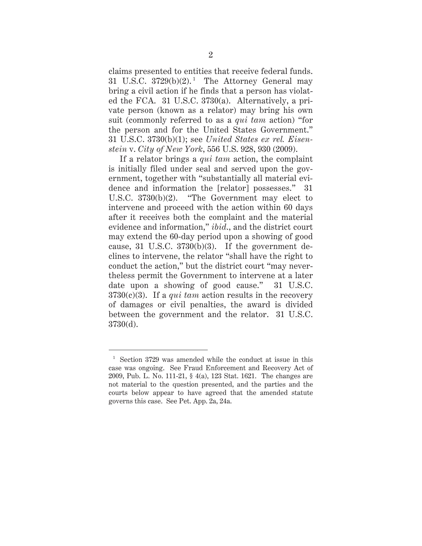claims presented to entities that receive federal funds. 31 U.S.C.  $3729(b)(2)$ .<sup>1</sup> The Attorney General may bring a civil action if he finds that a person has violated the FCA. 31 U.S.C. 3730(a). Alternatively, a private person (known as a relator) may bring his own suit (commonly referred to as a *qui tam* action) "for the person and for the United States Government." 31 U.S.C. 3730(b)(1); see *United States ex rel. Eisenstein* v. *City of New York*, 556 U.S. 928, 930 (2009).

If a relator brings a *qui tam* action, the complaint is initially filed under seal and served upon the government, together with "substantially all material evidence and information the [relator] possesses." 31 U.S.C. 3730(b)(2). "The Government may elect to intervene and proceed with the action within 60 days after it receives both the complaint and the material evidence and information," *ibid*., and the district court may extend the 60-day period upon a showing of good cause, 31 U.S.C. 3730(b)(3). If the government declines to intervene, the relator "shall have the right to conduct the action," but the district court "may nevertheless permit the Government to intervene at a later date upon a showing of good cause." 31 U.S.C. 3730(c)(3). If a *qui tam* action results in the recovery of damages or civil penalties, the award is divided between the government and the relator. 31 U.S.C. 3730(d).

<sup>1</sup> Section 3729 was amended while the conduct at issue in this case was ongoing. See Fraud Enforcement and Recovery Act of 2009, Pub. L. No. 111-21, § 4(a), 123 Stat. 1621. The changes are not material to the question presented, and the parties and the courts below appear to have agreed that the amended statute governs this case. See Pet. App. 2a, 24a.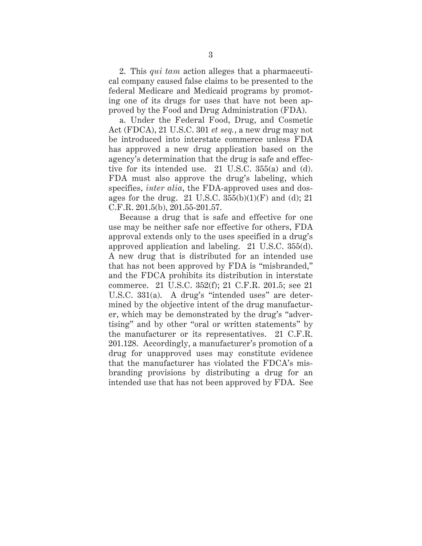2. This *qui tam* action alleges that a pharmaceutical company caused false claims to be presented to the federal Medicare and Medicaid programs by promoting one of its drugs for uses that have not been approved by the Food and Drug Administration (FDA).

a. Under the Federal Food, Drug, and Cosmetic Act (FDCA), 21 U.S.C. 301 *et seq.*, a new drug may not be introduced into interstate commerce unless FDA has approved a new drug application based on the agency's determination that the drug is safe and effective for its intended use. 21 U.S.C. 355(a) and (d). FDA must also approve the drug's labeling, which specifies, *inter alia*, the FDA-approved uses and dosages for the drug. 21 U.S.C.  $355(b)(1)(F)$  and (d); 21 C.F.R. 201.5(b), 201.55-201.57.

Because a drug that is safe and effective for one use may be neither safe nor effective for others, FDA approval extends only to the uses specified in a drug's approved application and labeling. 21 U.S.C. 355(d). A new drug that is distributed for an intended use that has not been approved by FDA is "misbranded," and the FDCA prohibits its distribution in interstate commerce. 21 U.S.C. 352(f); 21 C.F.R. 201.5; see 21 U.S.C. 331(a). A drug's "intended uses" are determined by the objective intent of the drug manufacturer, which may be demonstrated by the drug's "advertising" and by other "oral or written statements" by the manufacturer or its representatives. 21 C.F.R. 201.128. Accordingly, a manufacturer's promotion of a drug for unapproved uses may constitute evidence that the manufacturer has violated the FDCA's misbranding provisions by distributing a drug for an intended use that has not been approved by FDA. See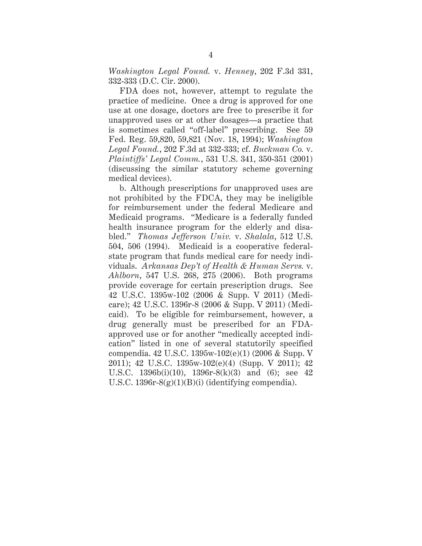*Washington Legal Found.* v. *Henney*, 202 F.3d 331, 332-333 (D.C. Cir. 2000).

FDA does not, however, attempt to regulate the practice of medicine. Once a drug is approved for one use at one dosage, doctors are free to prescribe it for unapproved uses or at other dosages—a practice that is sometimes called "off-label" prescribing. See 59 Fed. Reg. 59,820, 59,821 (Nov. 18, 1994); *Washington Legal Found.*, 202 F.3d at 332-333; cf. *Buckman Co.* v. *Plaintiffs' Legal Comm.*, 531 U.S. 341, 350-351 (2001) (discussing the similar statutory scheme governing medical devices).

b. Although prescriptions for unapproved uses are not prohibited by the FDCA, they may be ineligible for reimbursement under the federal Medicare and Medicaid programs. "Medicare is a federally funded health insurance program for the elderly and disabled." *Thomas Jefferson Univ.* v. *Shalala*, 512 U.S. 504, 506 (1994). Medicaid is a cooperative federalstate program that funds medical care for needy individuals. *Arkansas Dep't of Health & Human Servs.* v. *Ahlborn*, 547 U.S. 268, 275 (2006). Both programs provide coverage for certain prescription drugs. See 42 U.S.C. 1395w-102 (2006 & Supp. V 2011) (Medicare); 42 U.S.C. 1396r-8 (2006 & Supp. V 2011) (Medicaid). To be eligible for reimbursement, however, a drug generally must be prescribed for an FDAapproved use or for another "medically accepted indication" listed in one of several statutorily specified compendia. 42 U.S.C. 1395w-102(e)(1) (2006 & Supp. V 2011); 42 U.S.C. 1395w-102(e)(4) (Supp. V 2011); 42 U.S.C. 1396b(i)(10), 1396r-8(k)(3) and (6); see 42 U.S.C.  $1396r-8(g)(1)(B)(i)$  (identifying compendia).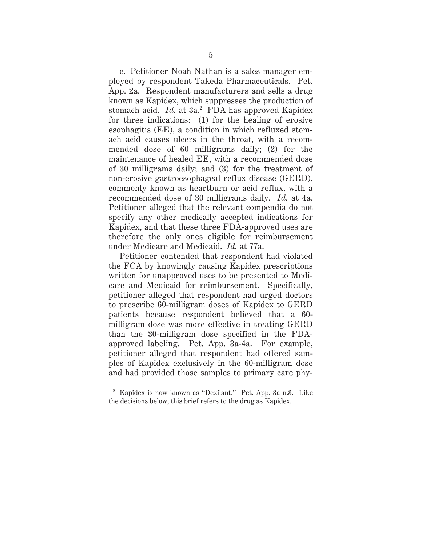c. Petitioner Noah Nathan is a sales manager employed by respondent Takeda Pharmaceuticals. Pet. App. 2a. Respondent manufacturers and sells a drug known as Kapidex, which suppresses the production of stomach acid. *Id.* at 3a.<sup>2</sup> FDA has approved Kapidex for three indications: (1) for the healing of erosive esophagitis (EE), a condition in which refluxed stomach acid causes ulcers in the throat, with a recommended dose of 60 milligrams daily; (2) for the maintenance of healed EE, with a recommended dose of 30 milligrams daily; and (3) for the treatment of non-erosive gastroesophageal reflux disease (GERD), commonly known as heartburn or acid reflux, with a recommended dose of 30 milligrams daily. *Id.* at 4a. Petitioner alleged that the relevant compendia do not specify any other medically accepted indications for Kapidex, and that these three FDA-approved uses are therefore the only ones eligible for reimbursement under Medicare and Medicaid. *Id.* at 77a.

Petitioner contended that respondent had violated the FCA by knowingly causing Kapidex prescriptions written for unapproved uses to be presented to Medicare and Medicaid for reimbursement. Specifically, petitioner alleged that respondent had urged doctors to prescribe 60-milligram doses of Kapidex to GERD patients because respondent believed that a 60 milligram dose was more effective in treating GERD than the 30-milligram dose specified in the FDAapproved labeling. Pet. App. 3a-4a. For example, petitioner alleged that respondent had offered samples of Kapidex exclusively in the 60-milligram dose and had provided those samples to primary care phy-

<sup>2</sup> Kapidex is now known as "Dexilant." Pet. App. 3a n.3. Like the decisions below, this brief refers to the drug as Kapidex.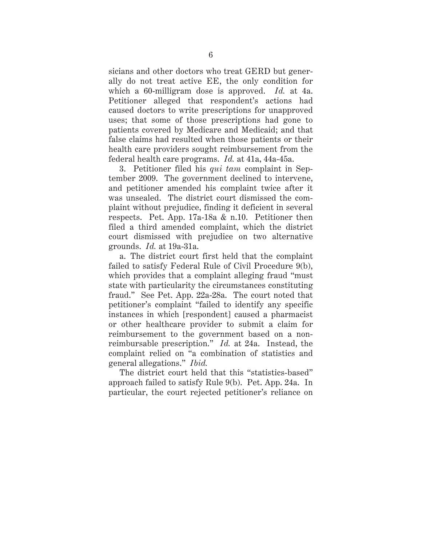sicians and other doctors who treat GERD but generally do not treat active EE, the only condition for which a 60-milligram dose is approved. *Id.* at 4a. Petitioner alleged that respondent's actions had caused doctors to write prescriptions for unapproved uses; that some of those prescriptions had gone to patients covered by Medicare and Medicaid; and that false claims had resulted when those patients or their health care providers sought reimbursement from the federal health care programs. *Id.* at 41a, 44a-45a.

3. Petitioner filed his *qui tam* complaint in September 2009. The government declined to intervene, and petitioner amended his complaint twice after it was unsealed. The district court dismissed the complaint without prejudice, finding it deficient in several respects. Pet. App. 17a-18a & n.10. Petitioner then filed a third amended complaint, which the district court dismissed with prejudice on two alternative grounds. *Id.* at 19a-31a.

a. The district court first held that the complaint failed to satisfy Federal Rule of Civil Procedure 9(b), which provides that a complaint alleging fraud "must state with particularity the circumstances constituting fraud." See Pet. App. 22a-28a. The court noted that petitioner's complaint "failed to identify any specific instances in which [respondent] caused a pharmacist or other healthcare provider to submit a claim for reimbursement to the government based on a nonreimbursable prescription." *Id.* at 24a. Instead, the complaint relied on "a combination of statistics and general allegations." *Ibid.*

The district court held that this "statistics-based" approach failed to satisfy Rule 9(b). Pet. App. 24a. In particular, the court rejected petitioner's reliance on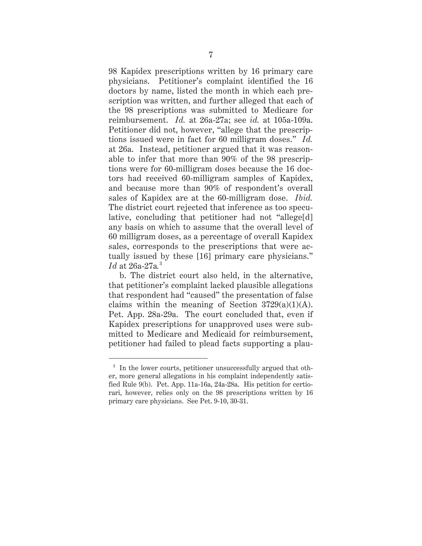98 Kapidex prescriptions written by 16 primary care physicians. Petitioner's complaint identified the 16 doctors by name, listed the month in which each prescription was written, and further alleged that each of the 98 prescriptions was submitted to Medicare for reimbursement. *Id.* at 26a-27a; see *id.* at 105a-109a. Petitioner did not, however, "allege that the prescriptions issued were in fact for 60 milligram doses." *Id.* at 26a. Instead, petitioner argued that it was reasonable to infer that more than 90% of the 98 prescriptions were for 60-milligram doses because the 16 doctors had received 60-milligram samples of Kapidex, and because more than 90% of respondent's overall sales of Kapidex are at the 60-milligram dose. *Ibid.* The district court rejected that inference as too speculative, concluding that petitioner had not "allege[d] any basis on which to assume that the overall level of 60 milligram doses, as a percentage of overall Kapidex sales, corresponds to the prescriptions that were actually issued by these [16] primary care physicians." *Id* at 26a-27a*.* 3

b. The district court also held, in the alternative, that petitioner's complaint lacked plausible allegations that respondent had "caused" the presentation of false claims within the meaning of Section  $3729(a)(1)(A)$ . Pet. App. 28a-29a. The court concluded that, even if Kapidex prescriptions for unapproved uses were submitted to Medicare and Medicaid for reimbursement, petitioner had failed to plead facts supporting a plau-

<sup>&</sup>lt;sup>3</sup> In the lower courts, petitioner unsuccessfully argued that other, more general allegations in his complaint independently satisfied Rule 9(b). Pet. App. 11a-16a, 24a-28a. His petition for certiorari, however, relies only on the 98 prescriptions written by 16 primary care physicians. See Pet. 9-10, 30-31.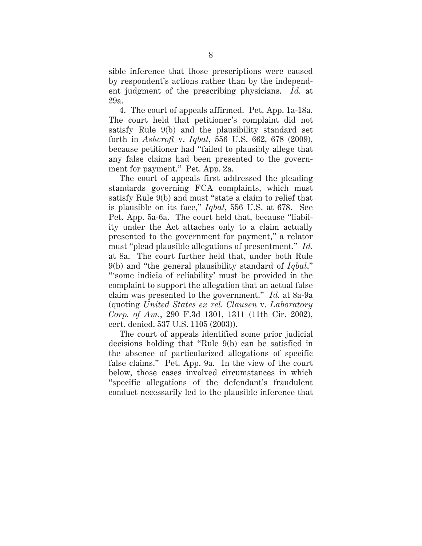sible inference that those prescriptions were caused by respondent's actions rather than by the independent judgment of the prescribing physicians. *Id.* at 29a.

4. The court of appeals affirmed. Pet. App. 1a-18a. The court held that petitioner's complaint did not satisfy Rule 9(b) and the plausibility standard set forth in *Ashcroft* v. *Iqbal*, 556 U.S. 662, 678 (2009), because petitioner had "failed to plausibly allege that any false claims had been presented to the government for payment." Pet. App. 2a.

The court of appeals first addressed the pleading standards governing FCA complaints, which must satisfy Rule 9(b) and must "state a claim to relief that is plausible on its face," *Iqbal*, 556 U.S. at 678. See Pet. App. 5a-6a. The court held that, because "liability under the Act attaches only to a claim actually presented to the government for payment," a relator must "plead plausible allegations of presentment." *Id.* at 8a. The court further held that, under both Rule 9(b) and "the general plausibility standard of *Iqbal*," "'some indicia of reliability' must be provided in the complaint to support the allegation that an actual false claim was presented to the government." *Id.* at 8a-9a (quoting *United States ex rel. Clausen* v. *Laboratory Corp. of Am.*, 290 F.3d 1301, 1311 (11th Cir. 2002), cert. denied, 537 U.S. 1105 (2003)).

The court of appeals identified some prior judicial decisions holding that "Rule 9(b) can be satisfied in the absence of particularized allegations of specific false claims." Pet. App. 9a. In the view of the court below, those cases involved circumstances in which "specific allegations of the defendant's fraudulent conduct necessarily led to the plausible inference that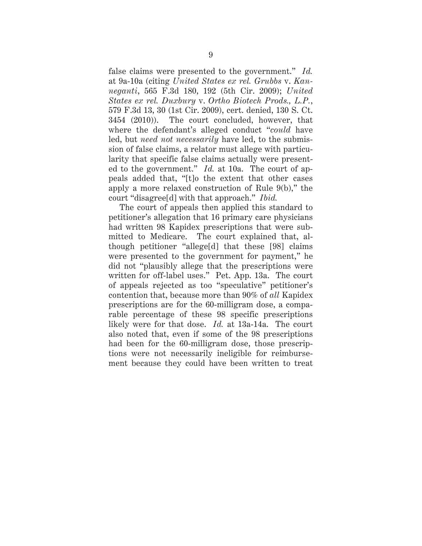false claims were presented to the government." *Id.* at 9a-10a (citing *United States ex rel. Grubbs* v. *Kanneganti*, 565 F.3d 180, 192 (5th Cir. 2009); *United States ex rel. Duxbury* v. *Ortho Biotech Prods., L.P.*, 579 F.3d 13, 30 (1st Cir. 2009), cert. denied, 130 S. Ct. 3454 (2010)). The court concluded, however, that where the defendant's alleged conduct "*could* have led, but *need not necessarily* have led, to the submission of false claims, a relator must allege with particularity that specific false claims actually were presented to the government." *Id.* at 10a. The court of appeals added that, "[t]o the extent that other cases apply a more relaxed construction of Rule 9(b)," the court "disagree[d] with that approach." *Ibid.*

The court of appeals then applied this standard to petitioner's allegation that 16 primary care physicians had written 98 Kapidex prescriptions that were submitted to Medicare. The court explained that, although petitioner "allege[d] that these [98] claims were presented to the government for payment," he did not "plausibly allege that the prescriptions were written for off-label uses." Pet. App. 13a. The court of appeals rejected as too "speculative" petitioner's contention that, because more than 90% of *all* Kapidex prescriptions are for the 60-milligram dose, a comparable percentage of these 98 specific prescriptions likely were for that dose. *Id.* at 13a-14a. The court also noted that, even if some of the 98 prescriptions had been for the 60-milligram dose, those prescriptions were not necessarily ineligible for reimbursement because they could have been written to treat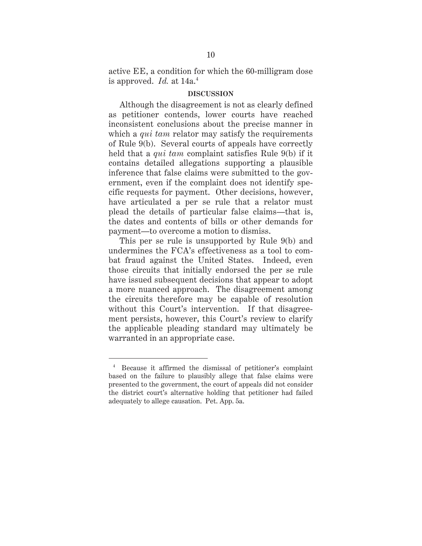active EE, a condition for which the 60-milligram dose is approved.  $Id.$  at  $14a<sup>4</sup>$ 

#### **DISCUSSION**

Although the disagreement is not as clearly defined as petitioner contends, lower courts have reached inconsistent conclusions about the precise manner in which a *qui tam* relator may satisfy the requirements of Rule 9(b). Several courts of appeals have correctly held that a *qui tam* complaint satisfies Rule 9(b) if it contains detailed allegations supporting a plausible inference that false claims were submitted to the government, even if the complaint does not identify specific requests for payment. Other decisions, however, have articulated a per se rule that a relator must plead the details of particular false claims—that is, the dates and contents of bills or other demands for payment—to overcome a motion to dismiss.

This per se rule is unsupported by Rule 9(b) and undermines the FCA's effectiveness as a tool to combat fraud against the United States. Indeed, even those circuits that initially endorsed the per se rule have issued subsequent decisions that appear to adopt a more nuanced approach. The disagreement among the circuits therefore may be capable of resolution without this Court's intervention. If that disagreement persists, however, this Court's review to clarify the applicable pleading standard may ultimately be warranted in an appropriate case.

<sup>4</sup> Because it affirmed the dismissal of petitioner's complaint based on the failure to plausibly allege that false claims were presented to the government, the court of appeals did not consider the district court's alternative holding that petitioner had failed adequately to allege causation. Pet. App. 5a.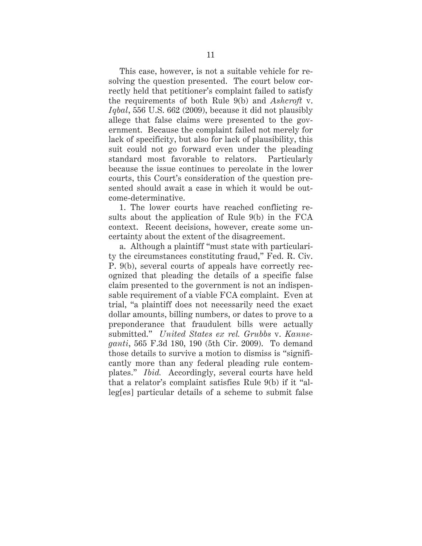This case, however, is not a suitable vehicle for resolving the question presented. The court below correctly held that petitioner's complaint failed to satisfy the requirements of both Rule 9(b) and *Ashcroft* v. *Iqbal*, 556 U.S. 662 (2009), because it did not plausibly allege that false claims were presented to the government. Because the complaint failed not merely for lack of specificity, but also for lack of plausibility, this suit could not go forward even under the pleading standard most favorable to relators. Particularly because the issue continues to percolate in the lower courts, this Court's consideration of the question presented should await a case in which it would be outcome-determinative.

1. The lower courts have reached conflicting results about the application of Rule 9(b) in the FCA context. Recent decisions, however, create some uncertainty about the extent of the disagreement.

a. Although a plaintiff "must state with particularity the circumstances constituting fraud," Fed. R. Civ. P. 9(b), several courts of appeals have correctly recognized that pleading the details of a specific false claim presented to the government is not an indispensable requirement of a viable FCA complaint. Even at trial, "a plaintiff does not necessarily need the exact dollar amounts, billing numbers, or dates to prove to a preponderance that fraudulent bills were actually submitted." *United States ex rel. Grubbs* v. *Kanneganti*, 565 F.3d 180, 190 (5th Cir. 2009). To demand those details to survive a motion to dismiss is "significantly more than any federal pleading rule contemplates." *Ibid.* Accordingly, several courts have held that a relator's complaint satisfies Rule 9(b) if it "alleg[es] particular details of a scheme to submit false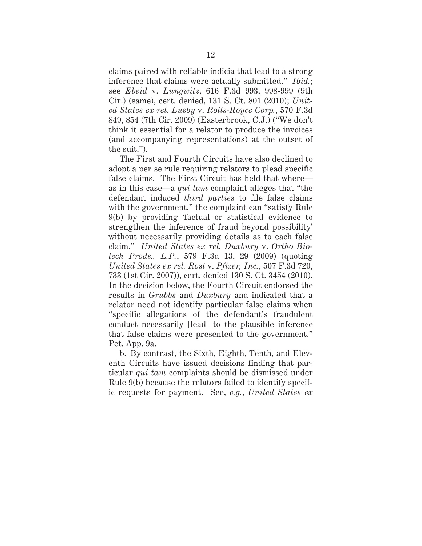claims paired with reliable indicia that lead to a strong inference that claims were actually submitted." *Ibid.*; see *Ebeid* v. *Lungwitz*, 616 F.3d 993, 998-999 (9th Cir.) (same), cert. denied, 131 S. Ct. 801 (2010); *United States ex rel. Lusby* v. *Rolls-Royce Corp.*, 570 F.3d 849, 854 (7th Cir. 2009) (Easterbrook, C.J.) ("We don't think it essential for a relator to produce the invoices (and accompanying representations) at the outset of the suit.").

The First and Fourth Circuits have also declined to adopt a per se rule requiring relators to plead specific false claims. The First Circuit has held that where as in this case—a *qui tam* complaint alleges that "the defendant induced *third parties* to file false claims with the government," the complaint can "satisfy Rule" 9(b) by providing 'factual or statistical evidence to strengthen the inference of fraud beyond possibility' without necessarily providing details as to each false claim." *United States ex rel. Duxbury* v. *Ortho Biotech Prods., L.P.*, 579 F.3d 13, 29 (2009) (quoting *United States ex rel. Rost* v. *Pfizer, Inc.*, 507 F.3d 720, 733 (1st Cir. 2007)), cert. denied 130 S. Ct. 3454 (2010). In the decision below, the Fourth Circuit endorsed the results in *Grubbs* and *Duxbury* and indicated that a relator need not identify particular false claims when "specific allegations of the defendant's fraudulent conduct necessarily [lead] to the plausible inference that false claims were presented to the government." Pet. App. 9a.

b. By contrast, the Sixth, Eighth, Tenth, and Eleventh Circuits have issued decisions finding that particular *qui tam* complaints should be dismissed under Rule 9(b) because the relators failed to identify specific requests for payment. See, *e.g.*, *United States ex*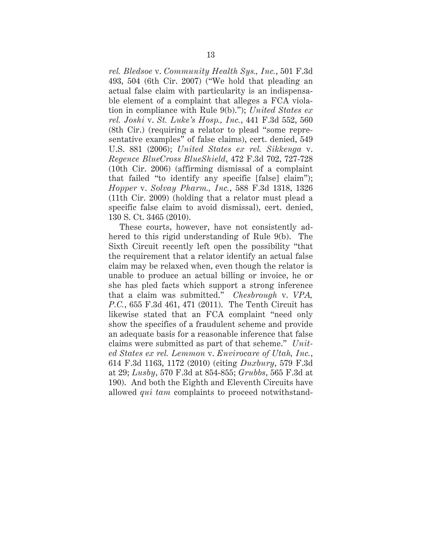*rel. Bledsoe* v. *Community Health Sys., Inc.*, 501 F.3d 493, 504 (6th Cir. 2007) ("We hold that pleading an actual false claim with particularity is an indispensable element of a complaint that alleges a FCA violation in compliance with Rule 9(b)."); *United States ex rel. Joshi* v. *St. Luke's Hosp., Inc.*, 441 F.3d 552, 560 (8th Cir.) (requiring a relator to plead "some representative examples" of false claims), cert. denied, 549 U.S. 881 (2006); *United States ex rel. Sikkenga* v. *Regence BlueCross BlueShield*, 472 F.3d 702, 727-728 (10th Cir. 2006) (affirming dismissal of a complaint that failed "to identify any specific [false] claim"); *Hopper* v. *Solvay Pharm., Inc.*, 588 F.3d 1318, 1326 (11th Cir. 2009) (holding that a relator must plead a specific false claim to avoid dismissal), cert. denied, 130 S. Ct. 3465 (2010).

These courts, however, have not consistently adhered to this rigid understanding of Rule 9(b). The Sixth Circuit recently left open the possibility "that the requirement that a relator identify an actual false claim may be relaxed when, even though the relator is unable to produce an actual billing or invoice, he or she has pled facts which support a strong inference that a claim was submitted." *Chesbrough* v. *VPA, P.C.*, 655 F.3d 461, 471 (2011). The Tenth Circuit has likewise stated that an FCA complaint "need only show the specifics of a fraudulent scheme and provide an adequate basis for a reasonable inference that false claims were submitted as part of that scheme." *United States ex rel. Lemmon* v. *Envirocare of Utah, Inc.*, 614 F.3d 1163, 1172 (2010) (citing *Duxbury*, 579 F.3d at 29; *Lusby*, 570 F.3d at 854-855; *Grubbs*, 565 F.3d at 190). And both the Eighth and Eleventh Circuits have allowed *qui tam* complaints to proceed notwithstand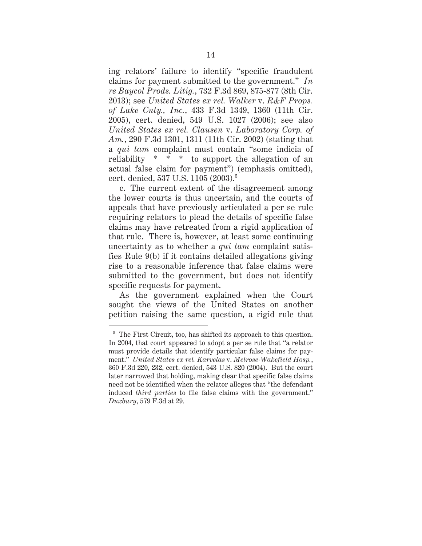ing relators' failure to identify "specific fraudulent claims for payment submitted to the government." *In re Baycol Prods. Litig.*, 732 F.3d 869, 875-877 (8th Cir. 2013); see *United States ex rel. Walker* v. *R&F Props. of Lake Cnty., Inc.*, 433 F.3d 1349, 1360 (11th Cir. 2005), cert. denied, 549 U.S. 1027 (2006); see also *United States ex rel. Clausen* v. *Laboratory Corp. of Am.*, 290 F.3d 1301, 1311 (11th Cir. 2002) (stating that a *qui tam* complaint must contain "some indicia of reliability \* \* \* to support the allegation of an actual false claim for payment") (emphasis omitted), cert. denied, 537 U.S. 1105 (2003).<sup>5</sup>

c. The current extent of the disagreement among the lower courts is thus uncertain, and the courts of appeals that have previously articulated a per se rule requiring relators to plead the details of specific false claims may have retreated from a rigid application of that rule. There is, however, at least some continuing uncertainty as to whether a *qui tam* complaint satisfies Rule 9(b) if it contains detailed allegations giving rise to a reasonable inference that false claims were submitted to the government, but does not identify specific requests for payment.

As the government explained when the Court sought the views of the United States on another petition raising the same question, a rigid rule that

<sup>&</sup>lt;sup>5</sup> The First Circuit, too, has shifted its approach to this question. In 2004, that court appeared to adopt a per se rule that "a relator must provide details that identify particular false claims for payment." *United States ex rel. Karvelas* v. *Melrose-Wakefield Hosp.*, 360 F.3d 220, 232, cert. denied, 543 U.S. 820 (2004). But the court later narrowed that holding, making clear that specific false claims need not be identified when the relator alleges that "the defendant induced *third parties* to file false claims with the government." *Duxbury*, 579 F.3d at 29.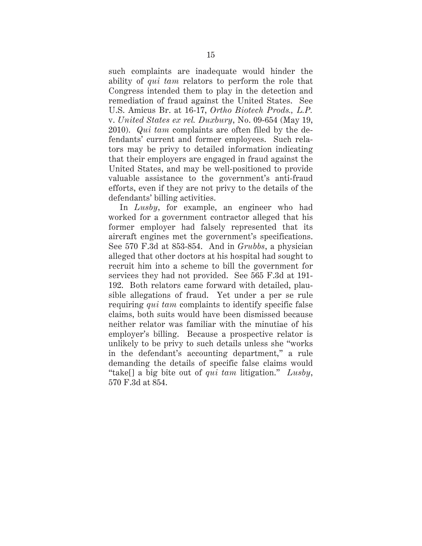such complaints are inadequate would hinder the ability of *qui tam* relators to perform the role that Congress intended them to play in the detection and remediation of fraud against the United States. See U.S. Amicus Br. at 16-17, *Ortho Biotech Prods., L.P.* v. *United States ex rel. Duxbury*, No. 09-654 (May 19, 2010). *Qui tam* complaints are often filed by the defendants' current and former employees. Such relators may be privy to detailed information indicating that their employers are engaged in fraud against the United States, and may be well-positioned to provide valuable assistance to the government's anti-fraud efforts, even if they are not privy to the details of the defendants' billing activities.

In *Lusby*, for example, an engineer who had worked for a government contractor alleged that his former employer had falsely represented that its aircraft engines met the government's specifications. See 570 F.3d at 853-854. And in *Grubbs*, a physician alleged that other doctors at his hospital had sought to recruit him into a scheme to bill the government for services they had not provided. See 565 F.3d at 191- 192. Both relators came forward with detailed, plausible allegations of fraud. Yet under a per se rule requiring *qui tam* complaints to identify specific false claims, both suits would have been dismissed because neither relator was familiar with the minutiae of his employer's billing. Because a prospective relator is unlikely to be privy to such details unless she "works in the defendant's accounting department," a rule demanding the details of specific false claims would "take[] a big bite out of *qui tam* litigation." *Lusby*, 570 F.3d at 854.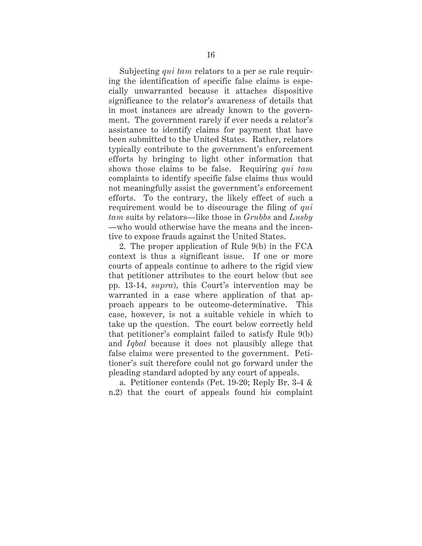Subjecting *qui tam* relators to a per se rule requiring the identification of specific false claims is especially unwarranted because it attaches dispositive significance to the relator's awareness of details that in most instances are already known to the government. The government rarely if ever needs a relator's assistance to identify claims for payment that have been submitted to the United States. Rather, relators typically contribute to the government's enforcement efforts by bringing to light other information that shows those claims to be false. Requiring *qui tam*  complaints to identify specific false claims thus would not meaningfully assist the government's enforcement efforts. To the contrary, the likely effect of such a requirement would be to discourage the filing of *qui tam* suits by relators—like those in *Grubbs* and *Lusby* —who would otherwise have the means and the incentive to expose frauds against the United States.

2. The proper application of Rule 9(b) in the FCA context is thus a significant issue. If one or more courts of appeals continue to adhere to the rigid view that petitioner attributes to the court below (but see pp. 13-14, *supra*), this Court's intervention may be warranted in a case where application of that approach appears to be outcome-determinative. This case, however, is not a suitable vehicle in which to take up the question. The court below correctly held that petitioner's complaint failed to satisfy Rule 9(b) and *Iqbal* because it does not plausibly allege that false claims were presented to the government. Petitioner's suit therefore could not go forward under the pleading standard adopted by any court of appeals.

a. Petitioner contends (Pet. 19-20; Reply Br. 3-4 & n.2) that the court of appeals found his complaint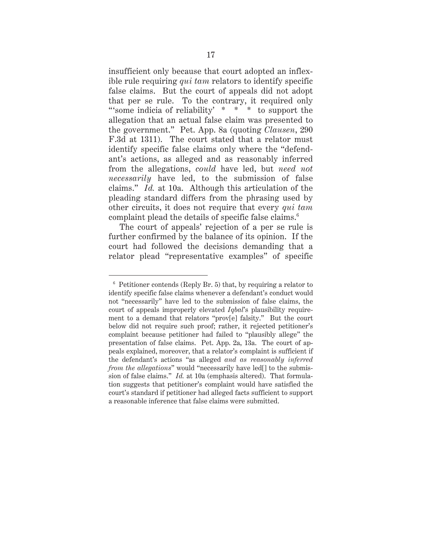insufficient only because that court adopted an inflexible rule requiring *qui tam* relators to identify specific false claims. But the court of appeals did not adopt that per se rule. To the contrary, it required only "'some indicia of reliability' \* \* \* to support the allegation that an actual false claim was presented to the government." Pet. App. 8a (quoting *Clausen*, 290 F.3d at 1311). The court stated that a relator must identify specific false claims only where the "defendant's actions, as alleged and as reasonably inferred from the allegations, *could* have led, but *need not necessarily* have led, to the submission of false claims." *Id.* at 10a. Although this articulation of the pleading standard differs from the phrasing used by other circuits, it does not require that every *qui tam* complaint plead the details of specific false claims.<sup>6</sup>

The court of appeals' rejection of a per se rule is further confirmed by the balance of its opinion. If the court had followed the decisions demanding that a relator plead "representative examples" of specific

<sup>6</sup> Petitioner contends (Reply Br. 5) that, by requiring a relator to identify specific false claims whenever a defendant's conduct would not "necessarily" have led to the submission of false claims, the court of appeals improperly elevated *Iqbal*'s plausibility requirement to a demand that relators "prov[e] falsity." But the court below did not require such proof; rather, it rejected petitioner's complaint because petitioner had failed to "plausibly allege" the presentation of false claims. Pet. App. 2a, 13a. The court of appeals explained, moreover, that a relator's complaint is sufficient if the defendant's actions "as alleged *and as reasonably inferred from the allegations*" would "necessarily have led[] to the submission of false claims." *Id.* at 10a (emphasis altered). That formulation suggests that petitioner's complaint would have satisfied the court's standard if petitioner had alleged facts sufficient to support a reasonable inference that false claims were submitted.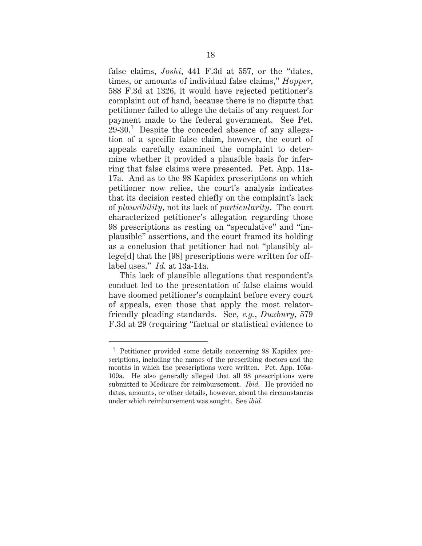false claims, *Joshi*, 441 F.3d at 557, or the "dates, times, or amounts of individual false claims," *Hopper*, 588 F.3d at 1326, it would have rejected petitioner's complaint out of hand, because there is no dispute that petitioner failed to allege the details of any request for payment made to the federal government. See Pet. 29-30.7 Despite the conceded absence of any allegation of a specific false claim, however, the court of appeals carefully examined the complaint to determine whether it provided a plausible basis for inferring that false claims were presented. Pet. App. 11a-17a. And as to the 98 Kapidex prescriptions on which petitioner now relies, the court's analysis indicates that its decision rested chiefly on the complaint's lack of *plausibility*, not its lack of *particularity*. The court characterized petitioner's allegation regarding those 98 prescriptions as resting on "speculative" and "implausible" assertions, and the court framed its holding as a conclusion that petitioner had not "plausibly allege[d] that the [98] prescriptions were written for offlabel uses." *Id.* at 13a-14a.

This lack of plausible allegations that respondent's conduct led to the presentation of false claims would have doomed petitioner's complaint before every court of appeals, even those that apply the most relatorfriendly pleading standards. See, *e.g.*, *Duxbury*, 579 F.3d at 29 (requiring "factual or statistical evidence to

<sup>7</sup> Petitioner provided some details concerning 98 Kapidex prescriptions, including the names of the prescribing doctors and the months in which the prescriptions were written. Pet. App. 105a-109a. He also generally alleged that all 98 prescriptions were submitted to Medicare for reimbursement. *Ibid.* He provided no dates, amounts, or other details, however, about the circumstances under which reimbursement was sought. See *ibid.*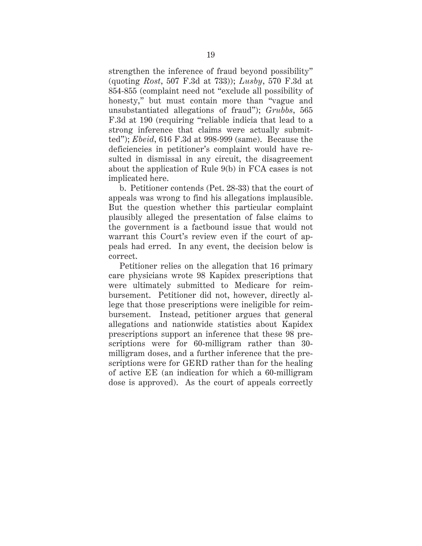strengthen the inference of fraud beyond possibility" (quoting *Rost*, 507 F.3d at 733)); *Lusby*, 570 F.3d at 854-855 (complaint need not "exclude all possibility of honesty," but must contain more than "vague and unsubstantiated allegations of fraud"); *Grubbs*, 565 F.3d at 190 (requiring "reliable indicia that lead to a strong inference that claims were actually submitted"); *Ebeid*, 616 F.3d at 998-999 (same). Because the deficiencies in petitioner's complaint would have resulted in dismissal in any circuit, the disagreement about the application of Rule 9(b) in FCA cases is not implicated here.

b. Petitioner contends (Pet. 28-33) that the court of appeals was wrong to find his allegations implausible. But the question whether this particular complaint plausibly alleged the presentation of false claims to the government is a factbound issue that would not warrant this Court's review even if the court of appeals had erred. In any event, the decision below is correct.

Petitioner relies on the allegation that 16 primary care physicians wrote 98 Kapidex prescriptions that were ultimately submitted to Medicare for reimbursement. Petitioner did not, however, directly allege that those prescriptions were ineligible for reimbursement. Instead, petitioner argues that general allegations and nationwide statistics about Kapidex prescriptions support an inference that these 98 prescriptions were for 60-milligram rather than 30 milligram doses, and a further inference that the prescriptions were for GERD rather than for the healing of active EE (an indication for which a 60-milligram dose is approved). As the court of appeals correctly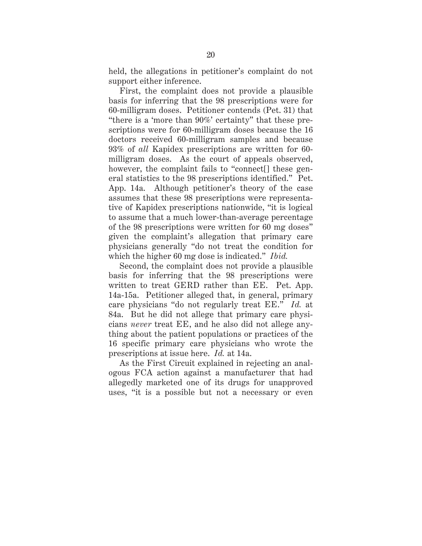held, the allegations in petitioner's complaint do not support either inference.

First, the complaint does not provide a plausible basis for inferring that the 98 prescriptions were for 60-milligram doses. Petitioner contends (Pet. 31) that "there is a 'more than 90%' certainty" that these prescriptions were for 60-milligram doses because the 16 doctors received 60-milligram samples and because 93% of *all* Kapidex prescriptions are written for 60 milligram doses. As the court of appeals observed, however, the complaint fails to "connect[] these general statistics to the 98 prescriptions identified." Pet. App. 14a. Although petitioner's theory of the case assumes that these 98 prescriptions were representative of Kapidex prescriptions nationwide, "it is logical to assume that a much lower-than-average percentage of the 98 prescriptions were written for 60 mg doses" given the complaint's allegation that primary care physicians generally "do not treat the condition for which the higher 60 mg dose is indicated." *Ibid.* 

Second, the complaint does not provide a plausible basis for inferring that the 98 prescriptions were written to treat GERD rather than EE. Pet. App. 14a-15a. Petitioner alleged that, in general, primary care physicians "do not regularly treat EE." *Id.* at 84a. But he did not allege that primary care physicians *never* treat EE, and he also did not allege anything about the patient populations or practices of the 16 specific primary care physicians who wrote the prescriptions at issue here. *Id.* at 14a.

As the First Circuit explained in rejecting an analogous FCA action against a manufacturer that had allegedly marketed one of its drugs for unapproved uses, "it is a possible but not a necessary or even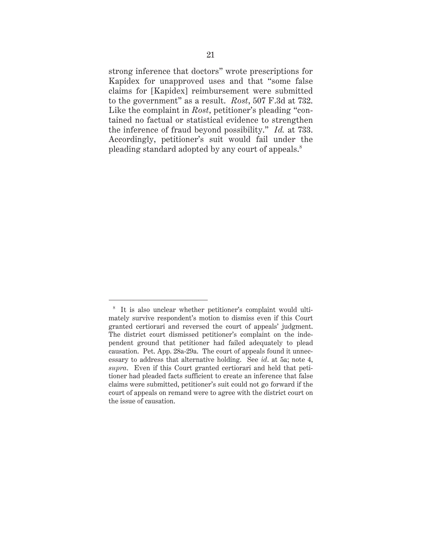strong inference that doctors" wrote prescriptions for Kapidex for unapproved uses and that "some false claims for [Kapidex] reimbursement were submitted to the government" as a result. *Rost*, 507 F.3d at 732. Like the complaint in *Rost*, petitioner's pleading "contained no factual or statistical evidence to strengthen the inference of fraud beyond possibility." *Id.* at 733. Accordingly, petitioner's suit would fail under the pleading standard adopted by any court of appeals.<sup>8</sup>

<sup>8</sup> It is also unclear whether petitioner's complaint would ultimately survive respondent's motion to dismiss even if this Court granted certiorari and reversed the court of appeals' judgment. The district court dismissed petitioner's complaint on the independent ground that petitioner had failed adequately to plead causation. Pet. App. 28a-29a. The court of appeals found it unnecessary to address that alternative holding.See *id*. at 5a; note 4, *supra*. Even if this Court granted certiorari and held that petitioner had pleaded facts sufficient to create an inference that false claims were submitted, petitioner's suit could not go forward if the court of appeals on remand were to agree with the district court on the issue of causation.